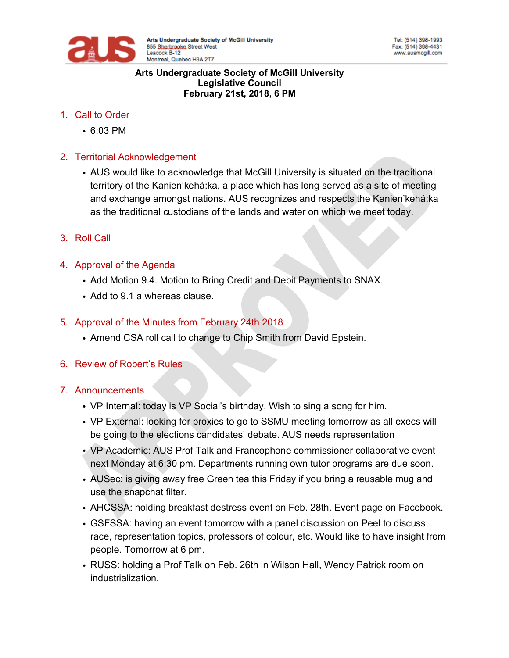

#### **Arts Undergraduate Society of McGill University Legislative Council February 21st, 2018, 6 PM**

- 1. Call to Order
	- 6:03 PM
- 2. Territorial Acknowledgement
	- AUS would like to acknowledge that McGill University is situated on the traditional territory of the Kanien'kehá:ka, a place which has long served as a site of meeting and exchange amongst nations. AUS recognizes and respects the Kanien'kehá:ka as the traditional custodians of the lands and water on which we meet today.
- 3. Roll Call
- 4. Approval of the Agenda
	- Add Motion 9.4. Motion to Bring Credit and Debit Payments to SNAX.
	- Add to 9.1 a whereas clause.

## 5. Approval of the Minutes from February 24th 2018

- Amend CSA roll call to change to Chip Smith from David Epstein.
- 6. Review of Robert's Rules

## 7. Announcements

- VP Internal: today is VP Social's birthday. Wish to sing a song for him.
- VP External: looking for proxies to go to SSMU meeting tomorrow as all execs will be going to the elections candidates' debate. AUS needs representation
- VP Academic: AUS Prof Talk and Francophone commissioner collaborative event next Monday at 6:30 pm. Departments running own tutor programs are due soon.
- AUSec: is giving away free Green tea this Friday if you bring a reusable mug and use the snapchat filter.
- AHCSSA: holding breakfast destress event on Feb. 28th. Event page on Facebook.
- GSFSSA: having an event tomorrow with a panel discussion on Peel to discuss race, representation topics, professors of colour, etc. Would like to have insight from people. Tomorrow at 6 pm.
- RUSS: holding a Prof Talk on Feb. 26th in Wilson Hall, Wendy Patrick room on industrialization.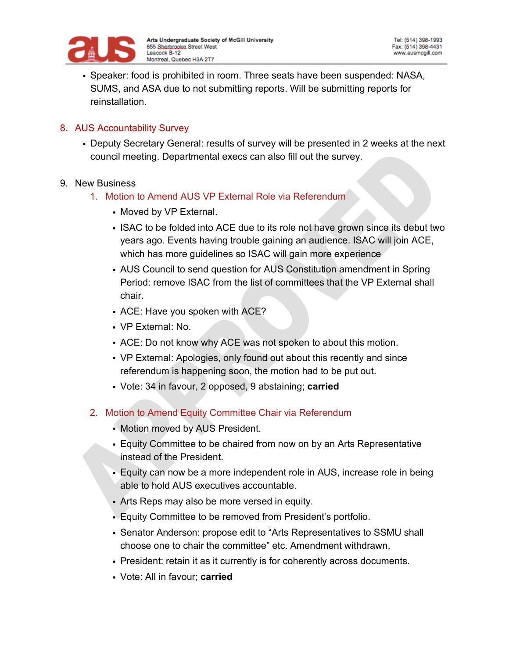

• Speaker: food is prohibited in room. Three seats have been suspended: NASA, SUMS, and ASA due to not submitting reports. Will be submitting reports for reinstallation.

### 8. AUS Accountability Survey

• Deputy Secretary General: results of survey will be presented in 2 weeks at the next council meeting. Departmental execs can also fill out the survey.

### 9. New Business

- 1. Motion to Amend AUS VP External Role via Referendum
	- Moved by VP External.
	- ISAC to be folded into ACE due to its role not have grown since its debut two years ago. Events having trouble gaining an audience. ISAC will join ACE, which has more guidelines so ISAC will gain more experience
	- AUS Council to send question for AUS Constitution amendment in Spring Period: remove ISAC from the list of committees that the VP External shall chair.
	- ACE: Have you spoken with ACE?
	- VP External: No.
	- ACE: Do not know why ACE was not spoken to about this motion.
	- VP External: Apologies, only found out about this recently and since referendum is happening soon, the motion had to be put out.
	- Vote: 34 in favour, 2 opposed, 9 abstaining; **carried**
- 2. Motion to Amend Equity Committee Chair via Referendum
	- Motion moved by AUS President.
	- Equity Committee to be chaired from now on by an Arts Representative instead of the President.
	- Equity can now be a more independent role in AUS, increase role in being able to hold AUS executives accountable.
	- Arts Reps may also be more versed in equity.
	- Equity Committee to be removed from President's portfolio.
	- Senator Anderson: propose edit to "Arts Representatives to SSMU shall choose one to chair the committee" etc. Amendment withdrawn.
	- President: retain it as it currently is for coherently across documents.
	- Vote: All in favour; **carried**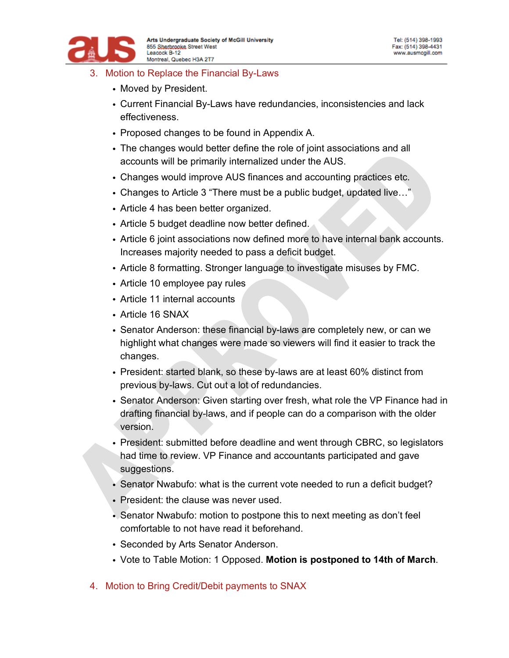

- 3. Motion to Replace the Financial By-Laws
	- Moved by President.
	- Current Financial By-Laws have redundancies, inconsistencies and lack effectiveness.
	- Proposed changes to be found in Appendix A.
	- The changes would better define the role of joint associations and all accounts will be primarily internalized under the AUS.
	- Changes would improve AUS finances and accounting practices etc.
	- Changes to Article 3 "There must be a public budget, updated live…"
	- Article 4 has been better organized.
	- Article 5 budget deadline now better defined.
	- Article 6 joint associations now defined more to have internal bank accounts. Increases majority needed to pass a deficit budget.
	- Article 8 formatting. Stronger language to investigate misuses by FMC.
	- Article 10 employee pay rules
	- Article 11 internal accounts
	- Article 16 SNAX
	- Senator Anderson: these financial by-laws are completely new, or can we highlight what changes were made so viewers will find it easier to track the changes.
	- President: started blank, so these by-laws are at least 60% distinct from previous by-laws. Cut out a lot of redundancies.
	- Senator Anderson: Given starting over fresh, what role the VP Finance had in drafting financial by-laws, and if people can do a comparison with the older version.
	- President: submitted before deadline and went through CBRC, so legislators had time to review. VP Finance and accountants participated and gave suggestions.
	- Senator Nwabufo: what is the current vote needed to run a deficit budget?
	- President: the clause was never used.
	- Senator Nwabufo: motion to postpone this to next meeting as don't feel comfortable to not have read it beforehand.
	- Seconded by Arts Senator Anderson.
	- Vote to Table Motion: 1 Opposed. **Motion is postponed to 14th of March**.
- 4. Motion to Bring Credit/Debit payments to SNAX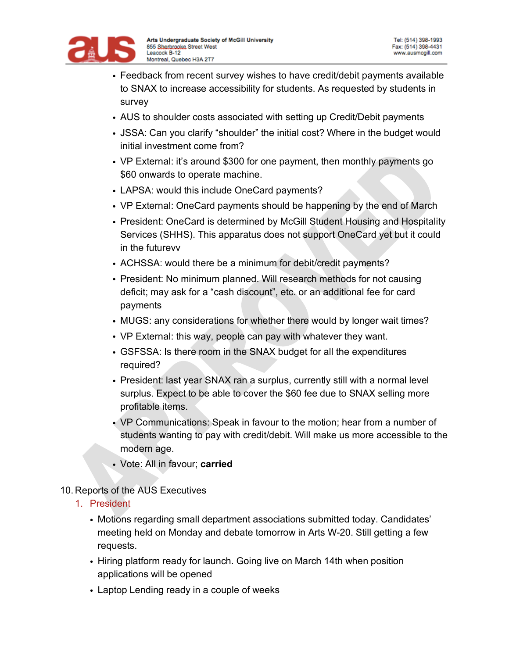

- Feedback from recent survey wishes to have credit/debit payments available to SNAX to increase accessibility for students. As requested by students in survey
- AUS to shoulder costs associated with setting up Credit/Debit payments
- JSSA: Can you clarify "shoulder" the initial cost? Where in the budget would initial investment come from?
- VP External: it's around \$300 for one payment, then monthly payments go \$60 onwards to operate machine.
- LAPSA: would this include OneCard payments?
- VP External: OneCard payments should be happening by the end of March
- President: OneCard is determined by McGill Student Housing and Hospitality Services (SHHS). This apparatus does not support OneCard yet but it could in the futurevv
- ACHSSA: would there be a minimum for debit/credit payments?
- President: No minimum planned. Will research methods for not causing deficit; may ask for a "cash discount", etc. or an additional fee for card payments
- MUGS: any considerations for whether there would by longer wait times?
- VP External: this way, people can pay with whatever they want.
- GSFSSA: Is there room in the SNAX budget for all the expenditures required?
- President: last year SNAX ran a surplus, currently still with a normal level surplus. Expect to be able to cover the \$60 fee due to SNAX selling more profitable items.
- VP Communications: Speak in favour to the motion; hear from a number of students wanting to pay with credit/debit. Will make us more accessible to the modern age.
- Vote: All in favour; **carried**
- 10. Reports of the AUS Executives
	- 1. President
		- Motions regarding small department associations submitted today. Candidates' meeting held on Monday and debate tomorrow in Arts W-20. Still getting a few requests.
		- Hiring platform ready for launch. Going live on March 14th when position applications will be opened
		- Laptop Lending ready in a couple of weeks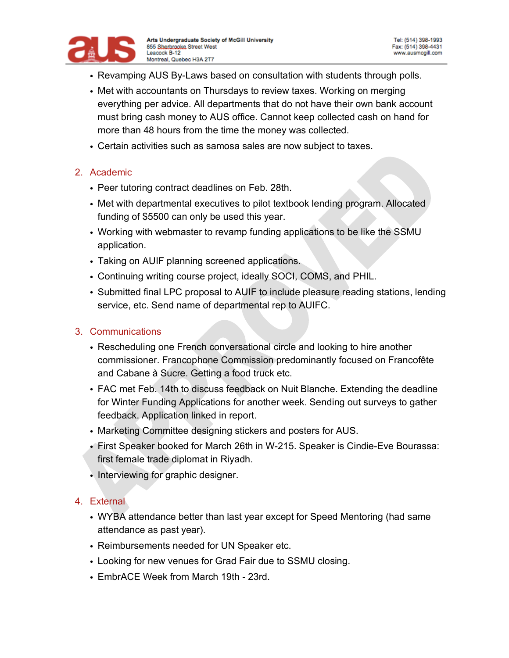

- Revamping AUS By-Laws based on consultation with students through polls.
- Met with accountants on Thursdays to review taxes. Working on merging everything per advice. All departments that do not have their own bank account must bring cash money to AUS office. Cannot keep collected cash on hand for more than 48 hours from the time the money was collected.
- Certain activities such as samosa sales are now subject to taxes.

## 2. Academic

- Peer tutoring contract deadlines on Feb. 28th.
- Met with departmental executives to pilot textbook lending program. Allocated funding of \$5500 can only be used this year.
- Working with webmaster to revamp funding applications to be like the SSMU application.
- Taking on AUIF planning screened applications.
- Continuing writing course project, ideally SOCI, COMS, and PHIL.
- Submitted final LPC proposal to AUIF to include pleasure reading stations, lending service, etc. Send name of departmental rep to AUIFC.

### 3. Communications

- Rescheduling one French conversational circle and looking to hire another commissioner. Francophone Commission predominantly focused on Francofête and Cabane à Sucre. Getting a food truck etc.
- FAC met Feb. 14th to discuss feedback on Nuit Blanche. Extending the deadline for Winter Funding Applications for another week. Sending out surveys to gather feedback. Application linked in report.
- Marketing Committee designing stickers and posters for AUS.
- First Speaker booked for March 26th in W-215. Speaker is Cindie-Eve Bourassa: first female trade diplomat in Riyadh.
- Interviewing for graphic designer.

### 4. External

- WYBA attendance better than last year except for Speed Mentoring (had same attendance as past year).
- Reimbursements needed for UN Speaker etc.
- Looking for new venues for Grad Fair due to SSMU closing.
- EmbrACE Week from March 19th 23rd.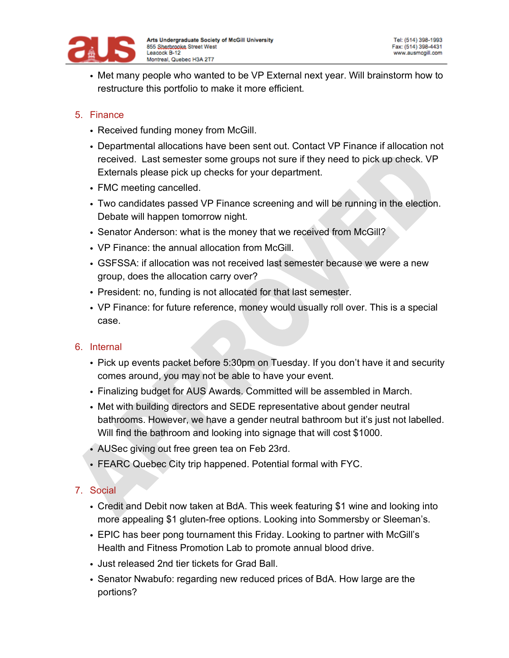

• Met many people who wanted to be VP External next year. Will brainstorm how to restructure this portfolio to make it more efficient.

## 5. Finance

- Received funding money from McGill.
- Departmental allocations have been sent out. Contact VP Finance if allocation not received. Last semester some groups not sure if they need to pick up check. VP Externals please pick up checks for your department.
- FMC meeting cancelled.
- Two candidates passed VP Finance screening and will be running in the election. Debate will happen tomorrow night.
- Senator Anderson: what is the money that we received from McGill?
- VP Finance: the annual allocation from McGill.
- GSFSSA: if allocation was not received last semester because we were a new group, does the allocation carry over?
- President: no, funding is not allocated for that last semester.
- VP Finance: for future reference, money would usually roll over. This is a special case.

## 6. Internal

- Pick up events packet before 5:30pm on Tuesday. If you don't have it and security comes around, you may not be able to have your event.
- Finalizing budget for AUS Awards. Committed will be assembled in March.
- Met with building directors and SEDE representative about gender neutral bathrooms. However, we have a gender neutral bathroom but it's just not labelled. Will find the bathroom and looking into signage that will cost \$1000.
- AUSec giving out free green tea on Feb 23rd.
- FEARC Quebec City trip happened. Potential formal with FYC.

## 7. Social

- Credit and Debit now taken at BdA. This week featuring \$1 wine and looking into more appealing \$1 gluten-free options. Looking into Sommersby or Sleeman's.
- EPIC has beer pong tournament this Friday. Looking to partner with McGill's Health and Fitness Promotion Lab to promote annual blood drive.
- Just released 2nd tier tickets for Grad Ball.
- Senator Nwabufo: regarding new reduced prices of BdA. How large are the portions?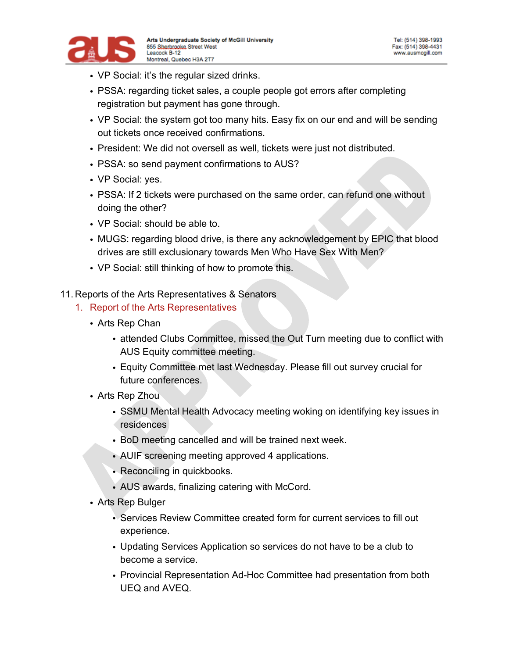

- VP Social: it's the regular sized drinks.
- PSSA: regarding ticket sales, a couple people got errors after completing registration but payment has gone through.
- VP Social: the system got too many hits. Easy fix on our end and will be sending out tickets once received confirmations.
- President: We did not oversell as well, tickets were just not distributed.
- PSSA: so send payment confirmations to AUS?
- VP Social: yes.
- PSSA: If 2 tickets were purchased on the same order, can refund one without doing the other?
- VP Social: should be able to.
- MUGS: regarding blood drive, is there any acknowledgement by EPIC that blood drives are still exclusionary towards Men Who Have Sex With Men?
- VP Social: still thinking of how to promote this.
- 11. Reports of the Arts Representatives & Senators
	- 1. Report of the Arts Representatives
		- Arts Rep Chan
			- attended Clubs Committee, missed the Out Turn meeting due to conflict with AUS Equity committee meeting.
			- Equity Committee met last Wednesday. Please fill out survey crucial for future conferences.
		- Arts Rep Zhou
			- SSMU Mental Health Advocacy meeting woking on identifying key issues in residences
			- BoD meeting cancelled and will be trained next week.
			- AUIF screening meeting approved 4 applications.
			- Reconciling in quickbooks.
			- AUS awards, finalizing catering with McCord.
		- Arts Rep Bulger
			- Services Review Committee created form for current services to fill out experience.
			- Updating Services Application so services do not have to be a club to become a service.
			- Provincial Representation Ad-Hoc Committee had presentation from both UEQ and AVEQ.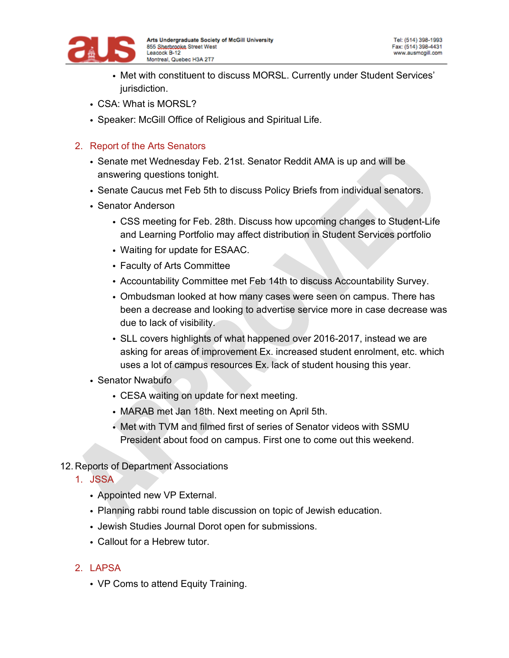

- Met with constituent to discuss MORSL. Currently under Student Services' jurisdiction.
- CSA: What is MORSL?
- Speaker: McGill Office of Religious and Spiritual Life.

## 2. Report of the Arts Senators

- Senate met Wednesday Feb. 21st. Senator Reddit AMA is up and will be answering questions tonight.
- Senate Caucus met Feb 5th to discuss Policy Briefs from individual senators.
- Senator Anderson
	- CSS meeting for Feb. 28th. Discuss how upcoming changes to Student-Life and Learning Portfolio may affect distribution in Student Services portfolio
	- Waiting for update for ESAAC.
	- Faculty of Arts Committee
	- Accountability Committee met Feb 14th to discuss Accountability Survey.
	- Ombudsman looked at how many cases were seen on campus. There has been a decrease and looking to advertise service more in case decrease was due to lack of visibility.
	- SLL covers highlights of what happened over 2016-2017, instead we are asking for areas of improvement Ex. increased student enrolment, etc. which uses a lot of campus resources Ex. lack of student housing this year.
- Senator Nwabufo
	- CESA waiting on update for next meeting.
	- MARAB met Jan 18th. Next meeting on April 5th.
	- Met with TVM and filmed first of series of Senator videos with SSMU President about food on campus. First one to come out this weekend.
- 12. Reports of Department Associations
	- 1. JSSA
		- Appointed new VP External.
		- Planning rabbi round table discussion on topic of Jewish education.
		- Jewish Studies Journal Dorot open for submissions.
		- Callout for a Hebrew tutor.

## 2. LAPSA

• VP Coms to attend Equity Training.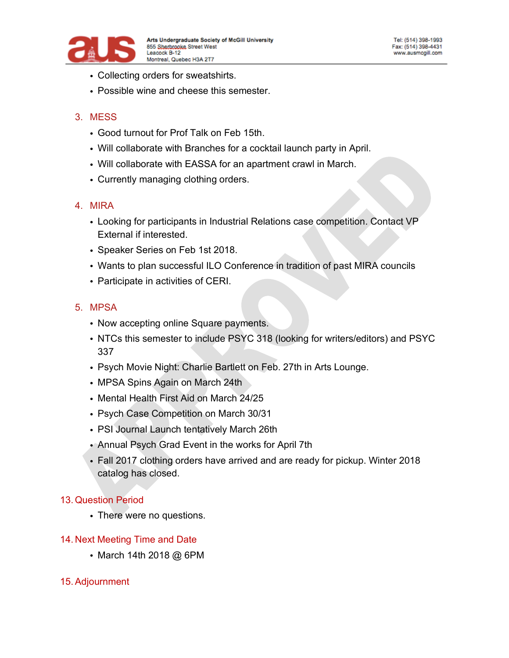

- Collecting orders for sweatshirts.
- Possible wine and cheese this semester.

## 3. MESS

- Good turnout for Prof Talk on Feb 15th.
- Will collaborate with Branches for a cocktail launch party in April.
- Will collaborate with EASSA for an apartment crawl in March.
- Currently managing clothing orders.

### 4. MIRA

- Looking for participants in Industrial Relations case competition. Contact VP External if interested.
- Speaker Series on Feb 1st 2018.
- Wants to plan successful ILO Conference in tradition of past MIRA councils
- Participate in activities of CERI.

## 5. MPSA

- Now accepting online Square payments.
- NTCs this semester to include PSYC 318 (looking for writers/editors) and PSYC 337
- Psych Movie Night: Charlie Bartlett on Feb. 27th in Arts Lounge.
- MPSA Spins Again on March 24th
- Mental Health First Aid on March 24/25
- Psych Case Competition on March 30/31
- PSI Journal Launch tentatively March 26th
- Annual Psych Grad Event in the works for April 7th
- Fall 2017 clothing orders have arrived and are ready for pickup. Winter 2018 catalog has closed.

### 13. Question Period

• There were no questions.

### 14. Next Meeting Time and Date

• March 14th 2018 @ 6PM

### 15.Adjournment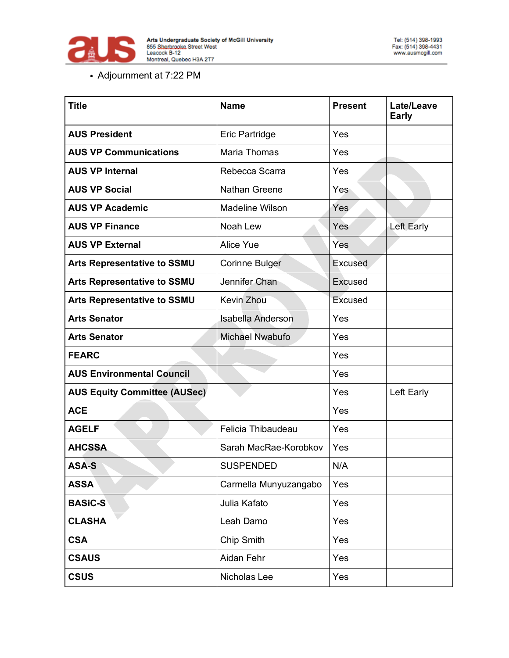

# • Adjournment at 7:22 PM

| <b>Title</b>                        | <b>Name</b>              | <b>Present</b> | Late/Leave<br><b>Early</b> |
|-------------------------------------|--------------------------|----------------|----------------------------|
| <b>AUS President</b>                | Eric Partridge           | Yes            |                            |
| <b>AUS VP Communications</b>        | Maria Thomas             | Yes            |                            |
| <b>AUS VP Internal</b>              | Rebecca Scarra           | Yes            |                            |
| <b>AUS VP Social</b>                | <b>Nathan Greene</b>     | Yes            |                            |
| <b>AUS VP Academic</b>              | Madeline Wilson          | Yes            |                            |
| <b>AUS VP Finance</b>               | Noah Lew                 | Yes            | <b>Left Early</b>          |
| <b>AUS VP External</b>              | <b>Alice Yue</b>         | Yes            |                            |
| <b>Arts Representative to SSMU</b>  | <b>Corinne Bulger</b>    | Excused        |                            |
| <b>Arts Representative to SSMU</b>  | Jennifer Chan            | Excused        |                            |
| <b>Arts Representative to SSMU</b>  | Kevin Zhou               | Excused        |                            |
| <b>Arts Senator</b>                 | <b>Isabella Anderson</b> | Yes            |                            |
| <b>Arts Senator</b>                 | <b>Michael Nwabufo</b>   | Yes            |                            |
| <b>FEARC</b>                        |                          | Yes            |                            |
| <b>AUS Environmental Council</b>    |                          | Yes            |                            |
| <b>AUS Equity Committee (AUSec)</b> |                          | Yes            | Left Early                 |
| <b>ACE</b>                          |                          | Yes            |                            |
| <b>AGELF</b>                        | Felicia Thibaudeau       | Yes            |                            |
| <b>AHCSSA</b>                       | Sarah MacRae-Korobkov    | Yes            |                            |
| <b>ASA-S</b>                        | <b>SUSPENDED</b>         | N/A            |                            |
| <b>ASSA</b>                         | Carmella Munyuzangabo    | Yes            |                            |
| <b>BASiC-S</b>                      | Julia Kafato             | Yes            |                            |
| <b>CLASHA</b>                       | Leah Damo                | Yes            |                            |
| <b>CSA</b>                          | Chip Smith               | Yes            |                            |
| <b>CSAUS</b>                        | Aidan Fehr               | Yes            |                            |
| <b>CSUS</b>                         | Nicholas Lee             | Yes            |                            |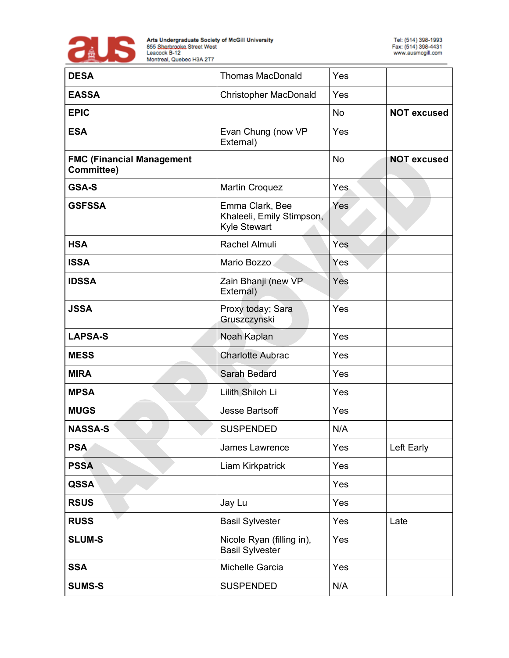

| <b>DESA</b>                                    | <b>Thomas MacDonald</b>                                      | Yes        |                    |
|------------------------------------------------|--------------------------------------------------------------|------------|--------------------|
| <b>EASSA</b>                                   | <b>Christopher MacDonald</b>                                 | Yes        |                    |
| <b>EPIC</b>                                    |                                                              | <b>No</b>  | <b>NOT excused</b> |
| <b>ESA</b>                                     | Evan Chung (now VP<br>External)                              | Yes        |                    |
| <b>FMC (Financial Management</b><br>Committee) |                                                              | <b>No</b>  | <b>NOT excused</b> |
| GSA-S                                          | <b>Martin Croquez</b>                                        | <b>Yes</b> |                    |
| <b>GSFSSA</b>                                  | Emma Clark, Bee<br>Khaleeli, Emily Stimpson,<br>Kyle Stewart | Yes        |                    |
| <b>HSA</b>                                     | <b>Rachel Almuli</b>                                         | Yes        |                    |
| <b>ISSA</b>                                    | Mario Bozzo                                                  | Yes        |                    |
| <b>IDSSA</b>                                   | Zain Bhanji (new VP<br>External)                             | Yes        |                    |
| <b>JSSA</b>                                    | Proxy today; Sara<br>Gruszczynski                            | Yes        |                    |
| <b>LAPSA-S</b>                                 | Noah Kaplan                                                  | Yes        |                    |
| <b>MESS</b>                                    | <b>Charlotte Aubrac</b>                                      | Yes        |                    |
| <b>MIRA</b>                                    | Sarah Bedard                                                 | Yes        |                    |
| <b>MPSA</b>                                    | Lilith Shiloh Li                                             | Yes        |                    |
| <b>MUGS</b>                                    | <b>Jesse Bartsoff</b>                                        | Yes        |                    |
| <b>NASSA-S</b>                                 | <b>SUSPENDED</b>                                             | N/A        |                    |
| <b>PSA</b>                                     | James Lawrence                                               | Yes        | Left Early         |
| <b>PSSA</b>                                    | Liam Kirkpatrick                                             | Yes        |                    |
| <b>QSSA</b>                                    |                                                              | Yes        |                    |
| <b>RSUS</b>                                    | Jay Lu                                                       | Yes        |                    |
| <b>RUSS</b>                                    | <b>Basil Sylvester</b>                                       | Yes        | Late               |
| <b>SLUM-S</b>                                  | Nicole Ryan (filling in),<br><b>Basil Sylvester</b>          | Yes        |                    |
| <b>SSA</b>                                     | Michelle Garcia                                              | Yes        |                    |
| <b>SUMS-S</b>                                  | <b>SUSPENDED</b>                                             | N/A        |                    |